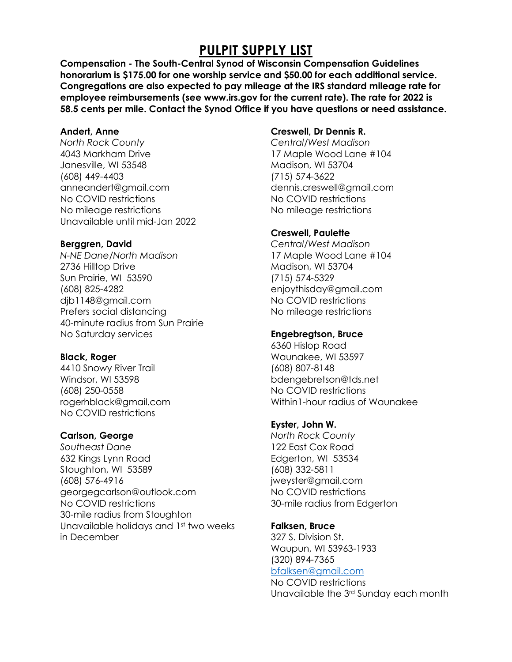# **PULPIT SUPPLY LIST**

**Compensation - The South-Central Synod of Wisconsin Compensation Guidelines honorarium is \$175.00 for one worship service and \$50.00 for each additional service. Congregations are also expected to pay mileage at the IRS standard mileage rate for employee reimbursements (see www.irs.gov for the current rate). The rate for 2022 is 58.5 cents per mile. Contact the Synod Office if you have questions or need assistance.**

### **Andert, Anne**

*North Rock County* 4043 Markham Drive Janesville, WI 53548 (608) 449-4403 [anneandert@gmail.com](mailto:anneandert@gmail.com)  No COVID restrictions No mileage restrictions Unavailable until mid-Jan 2022

### **Berggren, David**

*N-NE Dane/North Madison* 2736 Hilltop Drive Sun Prairie, WI 53590 (608) 825-4282 [djb1148@gmail.com](mailto:djb1148@gmail.com) Prefers social distancing 40-minute radius from Sun Prairie No Saturday services

### **Black, Roger**

4410 Snowy River Trail Windsor, WI 53598 (608) 250-0558 rogerhblack@gmail.com No COVID restrictions

### **Carlson, George**

*Southeast Dane* 632 Kings Lynn Road Stoughton, WI 53589 (608) 576-4916 [georgegcarlson@outlook.com](file:///C:/Users/Robynz/AppData/Local/Microsoft/Windows/Directory/georgegcarlson@outlook.com) No COVID restrictions 30-mile radius from Stoughton Unavailable holidays and 1st two weeks in December

### **Creswell, Dr Dennis R.**

*Central/West Madison* 17 Maple Wood Lane #104 Madison, WI 53704 (715) 574-3622 [dennis.creswell@gmail.com](mailto:dennis.creswell@gmail.com) No COVID restrictions No mileage restrictions

### **Creswell, Paulette**

*Central/West Madison* 17 Maple Wood Lane #104 Madison, WI 53704 (715) 574-5329 [enjoythisday@gmail.com](mailto:Dennis.creswell@gmail.com) No COVID restrictions No mileage restrictions

### **Engebregtson, Bruce**

6360 Hislop Road Waunakee, WI 53597 (608) 807-8148 [bdengebretson@tds.net](mailto:bdengebretson@tds.net) No COVID restrictions Within1-hour radius of Waunakee

### **Eyster, John W.**

*North Rock County* 122 East Cox Road Edgerton, WI 53534 (608) 332-5811 [jweyster@gmail.com](mailto:jweyster@gmail.com) No COVID restrictions 30-mile radius from Edgerton

### **Falksen, Bruce**

327 S. Division St. Waupun, WI 53963-1933 (320) 894-7365

## [bfalksen@gmail.com](mailto:bfalksen@gmail.com)

No COVID restrictions Unavailable the 3rd Sunday each month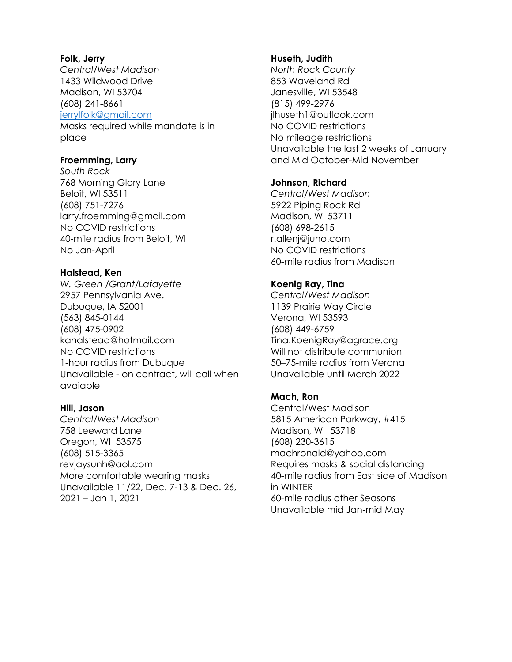#### **Folk, Jerry**

*Central/West Madison* 1433 Wildwood Drive Madison, WI 53704 (608) 241-8661 [jerrylfolk@gmail.com](mailto:jerrylfolk@gmail.com)  Masks required while mandate is in

place

### **Froemming, Larry**

*South Rock* 768 Morning Glory Lane Beloit, WI 53511 (608) 751-7276 [larry.froemming@gmail.com](mailto:larry.froemming@gmail.com) No COVID restrictions 40-mile radius from Beloit, WI No Jan-April

### **Halstead, Ken**

*W. Green /Grant/Lafayette* 2957 Pennsylvania Ave. Dubuque, IA 52001 (563) 845-0144 (608) 475-0902 [kahalstead@hotmail.com](mailto:kahalstead@hotmail.com) No COVID restrictions 1-hour radius from Dubuque Unavailable - on contract, will call when avaiable

### **Hill, Jason**

*Central/West Madison* 758 Leeward Lane Oregon, WI 53575 (608) 515-3365 [revjaysunh@aol.com](mailto:revjaysunh@aol.com) More comfortable wearing masks Unavailable 11/22, Dec. 7-13 & Dec. 26, 2021 – Jan 1, 2021

### **Huseth, Judith**

*North Rock County*  853 Waveland Rd Janesville, WI 53548 (815) 499-2976 [jlhuseth1@outlook.com](file:///C:/Users/Robynz/AppData/Local/Microsoft/Windows/Directory/jlhuseth1@outlook.com) No COVID restrictions No mileage restrictions Unavailable the last 2 weeks of January and Mid October-Mid November

### **Johnson, Richard**

*Central/West Madison* 5922 Piping Rock Rd Madison, WI 53711 (608) 698-2615 [r.allenj@juno.com](mailto:r.allenj@juno.com) No COVID restrictions 60-mile radius from Madison

### **Koenig Ray, Tina**

*Central/West Madison* 1139 Prairie Way Circle Verona, WI 53593 (608) 449-6759 [Tina.KoenigRay@agrace.org](mailto:Tina.KoenigRay@agrace.org) Will not distribute communion 50–75-mile radius from Verona Unavailable until March 2022

### **Mach, Ron**

Central/West Madison 5815 American Parkway, #415 Madison, WI 53718 (608) 230-3615 [machronald@yahoo.com](mailto:machronald@yahoo.com) Requires masks & social distancing 40-mile radius from East side of Madison in WINTER 60-mile radius other Seasons Unavailable mid Jan-mid May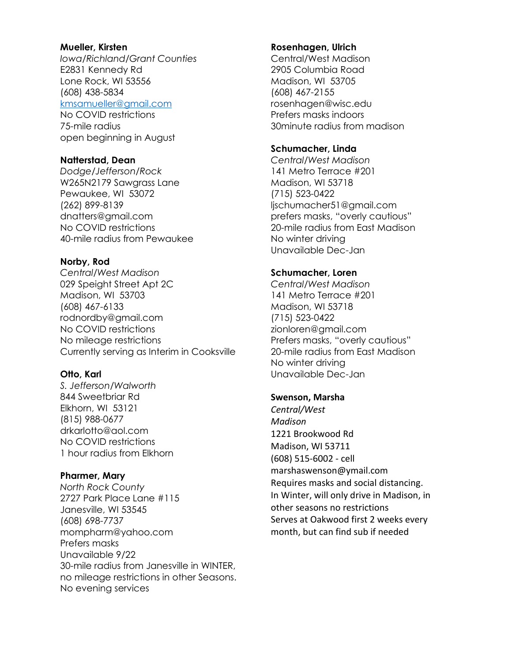#### **Mueller, Kirsten**

*Iowa/Richland/Grant Counties* E2831 Kennedy Rd Lone Rock, WI 53556 (608) 438-5834

[kmsamueller@gmail.com](mailto:kmsamueller@gmail.com)

No COVID restrictions 75-mile radius open beginning in August

#### **Natterstad, Dean**

*Dodge/Jefferson/Rock* W265N2179 Sawgrass Lane Pewaukee, WI 53072 (262) 899-8139 [dnatters@gmail.com](file:///C:/Users/robynz/AppData/Local/Microsoft/Windows/INetCache/Content.Outlook/Q206Y2IV/dnatters@gmail.com) No COVID restrictions 40-mile radius from Pewaukee

### **Norby, Rod**

*Central/West Madison* 029 Speight Street Apt 2C Madison, WI 53703 (608) 467-6133 [rodnordby@gmail.com](file:///C:/Users/Robynz/AppData/Local/Microsoft/Windows/Directory/rodnordby@gmail.com)  No COVID restrictions No mileage restrictions Currently serving as Interim in Cooksville

### **Otto, Karl**

*S. Jefferson/Walworth* 844 Sweetbriar Rd Elkhorn, WI 53121 (815) 988-0677 [drkarlotto@aol.com](file:///C:/Users/Robynz/AppData/Local/Microsoft/Windows/Directory/drkarlotto@aol.com) No COVID restrictions 1 hour radius from Elkhorn

### **Pharmer, Mary**

*North Rock County* 2727 Park Place Lane #115 Janesville, WI 53545 (608) 698-7737 [mompharm@yahoo.com](mailto:mompharm@yahoo.com) Prefers masks Unavailable 9/22 30-mile radius from Janesville in WINTER, no mileage restrictions in other Seasons. No evening services

#### **Rosenhagen, Ulrich**

Central/West Madison 2905 Columbia Road Madison, WI 53705 (608) 467-2155 [rosenhagen@wisc.edu](mailto:rosenhagen@wisc.edu) Prefers masks indoors 30minute radius from madison

#### **Schumacher, Linda**

*Central/West Madison* 141 Metro Terrace #201 Madison, WI 53718 (715) 523-0422 [ljschumacher51@gmail.com](mailto:ljschumacher51@gmail.com) prefers masks, "overly cautious" 20-mile radius from East Madison No winter driving Unavailable Dec-Jan

### **Schumacher, Loren**

*Central/West Madison* 141 Metro Terrace #201 Madison, WI 53718 (715) 523-0422 [zionloren@gmail.com](mailto:zionloren@gmail.com) Prefers masks, "overly cautious" 20-mile radius from East Madison No winter driving Unavailable Dec-Jan

#### **Swenson, Marsha**

*Central/West Madison* 1221 Brookwood Rd Madison, WI 53711 (608) 515-6002 - cell [marshaswenson@ymail.com](mailto:marshaswenson@ymail.com) Requires masks and social distancing. In Winter, will only drive in Madison, in other seasons no restrictions Serves at Oakwood first 2 weeks every month, but can find sub if needed